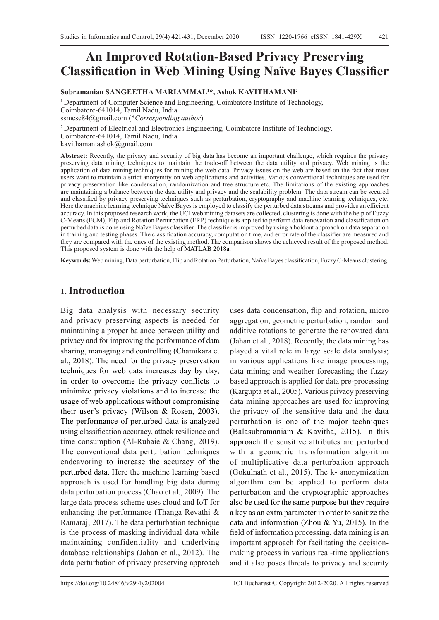# **An Improved Rotation-Based Privacy Preserving Classification in Web Mining Using Naïve Bayes Classifier**

**Subramanian SANGEETHA MARIAMMAL<sup>1</sup> \*, Ashok KAVITHAMANI<sup>2</sup>**

1 Department of Computer Science and Engineering, Coimbatore Institute of Technology, Coimbatore-641014, Tamil Nadu, India ssmcse84@gmail.com (\**Corresponding author*)

2 Department of Electrical and Electronics Engineering, Coimbatore Institute of Technology, Coimbatore-641014, Tamil Nadu, India kavithamaniashok@gmail.com

**Abstract:** Recently, the privacy and security of big data has become an important challenge, which requires the privacy preserving data mining techniques to maintain the trade-off between the data utility and privacy. Web mining is the application of data mining techniques for mining the web data. Privacy issues on the web are based on the fact that most users want to maintain a strict anonymity on web applications and activities. Various conventional techniques are used for privacy preservation like condensation, randomization and tree structure etc. The limitations of the existing approaches are maintaining a balance between the data utility and privacy and the scalability problem. The data stream can be secured and classified by privacy preserving techniques such as perturbation, cryptography and machine learning techniques, etc. Here the machine learning technique Naïve Bayes is employed to classify the perturbed data streams and provides an efficient accuracy. In this proposed research work, the UCI web mining datasets are collected, clustering is done with the help of Fuzzy C-Means (FCM), Flip and Rotation Perturbation (FRP) technique is applied to perform data renovation and classification on perturbed data is done using Naïve Bayes classifier. The classifier is improved by using a holdout approach on data separation in training and testing phases. The classification accuracy, computation time, and error rate of the classifier are measured and they are compared with the ones of the existing method. The comparison shows the achieved result of the proposed method. This proposed system is done with the help of MATLAB 2018a.

**Keywords:** Web mining, Data perturbation, Flip and Rotation Perturbation, Naïve Bayes classification, Fuzzy C-Means clustering.

## **1. Introduction**

Big data analysis with necessary security and privacy preserving aspects is needed for maintaining a proper balance between utility and privacy and for improving the performance of data sharing, managing and controlling (Chamikara et al., 2018). The need for the privacy preservation techniques for web data increases day by day, in order to overcome the privacy conflicts to minimize privacy violations and to increase the usage of web applications without compromising their user's privacy (Wilson & Rosen, 2003). The performance of perturbed data is analyzed using classification accuracy, attack resilience and time consumption (Al-Rubaie & Chang, 2019). The conventional data perturbation techniques endeavoring to increase the accuracy of the perturbed data. Here the machine learning based approach is used for handling big data during data perturbation process (Chao et al., 2009). The large data process scheme uses cloud and IoT for enhancing the performance (Thanga Revathi & Ramaraj, 2017). The data perturbation technique is the process of masking individual data while maintaining confidentiality and underlying database relationships (Jahan et al., 2012). The data perturbation of privacy preserving approach

uses data condensation, flip and rotation, micro aggregation, geometric perturbation, random and additive rotations to generate the renovated data (Jahan et al., 2018). Recently, the data mining has played a vital role in large scale data analysis; in various applications like image processing, data mining and weather forecasting the fuzzy based approach is applied for data pre-processing (Kargupta et al., 2005). Various privacy preserving data mining approaches are used for improving the privacy of the sensitive data and the data perturbation is one of the major techniques (Balasubramaniam & Kavitha, 2015). In this approach the sensitive attributes are perturbed with a geometric transformation algorithm of multiplicative data perturbation approach (Gokulnath et al., 2015). The k- anonymization algorithm can be applied to perform data perturbation and the cryptographic approaches also be used for the same purpose but they require a key as an extra parameter in order to sanitize the data and information (Zhou & Yu, 2015). In the field of information processing, data mining is an important approach for facilitating the decisionmaking process in various real-time applications and it also poses threats to privacy and security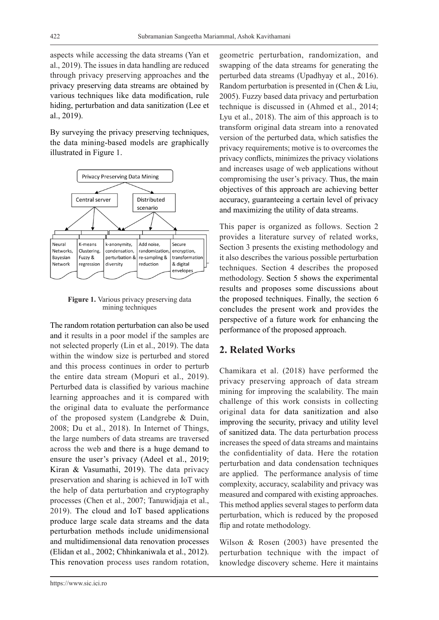aspects while accessing the data streams (Yan et al., 2019). The issues in data handling are reduced through privacy preserving approaches and the privacy preserving data streams are obtained by various techniques like data modification, rule hiding, perturbation and data sanitization (Lee et al., 2019).

By surveying the privacy preserving techniques, the data mining-based models are graphically illustrated in Figure 1.



**Figure 1.** Various privacy preserving data mining techniques

The random rotation perturbation can also be used and it results in a poor model if the samples are not selected properly (Lin et al., 2019). The data within the window size is perturbed and stored and this process continues in order to perturb the entire data stream (Mopuri et al., 2019). Perturbed data is classified by various machine learning approaches and it is compared with the original data to evaluate the performance of the proposed system (Landgrebe & Duin, 2008; Du et al., 2018). In Internet of Things, the large numbers of data streams are traversed across the web and there is a huge demand to ensure the user's privacy (Adeel et al., 2019; Kiran & Vasumathi, 2019). The data privacy preservation and sharing is achieved in IoT with the help of data perturbation and cryptography processes (Chen et al., 2007; Tanuwidjaja et al., 2019). The cloud and IoT based applications produce large scale data streams and the data perturbation methods include unidimensional and multidimensional data renovation processes (Elidan et al., 2002; Chhinkaniwala et al., 2012). This renovation process uses random rotation, swapping of the data streams for generating the perturbed data streams (Upadhyay et al., 2016). Random perturbation is presented in (Chen & Liu, 2005). Fuzzy based data privacy and perturbation technique is discussed in (Ahmed et al., 2014; Lyu et al., 2018). The aim of this approach is to transform original data stream into a renovated version of the perturbed data, which satisfies the privacy requirements; motive is to overcomes the privacy conflicts, minimizes the privacy violations and increases usage of web applications without compromising the user's privacy. Thus, the main objectives of this approach are achieving better accuracy, guaranteeing a certain level of privacy and maximizing the utility of data streams.

geometric perturbation, randomization, and

This paper is organized as follows. Section 2 provides a literature survey of related works, Section 3 presents the existing methodology and it also describes the various possible perturbation techniques. Section 4 describes the proposed methodology. Section 5 shows the experimental results and proposes some discussions about the proposed techniques. Finally, the section 6 concludes the present work and provides the perspective of a future work for enhancing the performance of the proposed approach.

## **2. Related Works**

Chamikara et al. (2018) have performed the privacy preserving approach of data stream mining for improving the scalability. The main challenge of this work consists in collecting original data for data sanitization and also improving the security, privacy and utility level of sanitized data. The data perturbation process increases the speed of data streams and maintains the confidentiality of data. Here the rotation perturbation and data condensation techniques are applied. The performance analysis of time complexity, accuracy, scalability and privacy was measured and compared with existing approaches. This method applies several stages to perform data perturbation, which is reduced by the proposed flip and rotate methodology.

Wilson & Rosen (2003) have presented the perturbation technique with the impact of knowledge discovery scheme. Here it maintains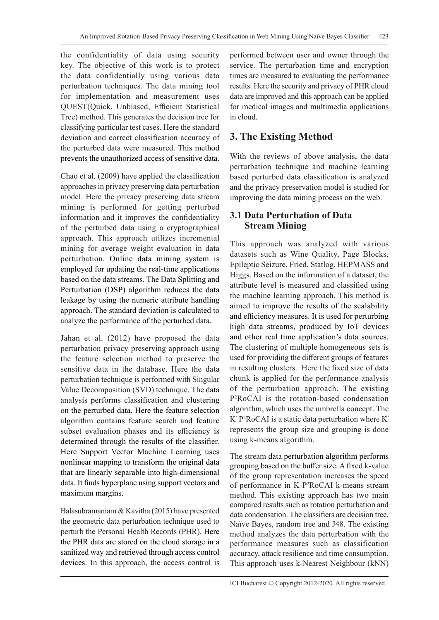the confidentiality of data using security key. The objective of this work is to protect the data confidentially using various data perturbation techniques. The data mining tool for implementation and measurement uses QUEST(Quick, Unbiased, Efficient Statistical Tree) method. This generates the decision tree for classifying particular test cases. Here the standard deviation and correct classification accuracy of the perturbed data were measured. This method prevents the unauthorized access of sensitive data.

Chao et al. (2009) have applied the classification approaches in privacy preserving data perturbation model. Here the privacy preserving data stream mining is performed for getting perturbed information and it improves the confidentiality of the perturbed data using a cryptographical approach. This approach utilizes incremental mining for average weight evaluation in data perturbation. Online data mining system is employed for updating the real-time applications based on the data streams. The Data Splitting and Perturbation (DSP) algorithm reduces the data leakage by using the numeric attribute handling approach. The standard deviation is calculated to analyze the performance of the perturbed data.

Jahan et al. (2012) have proposed the data perturbation privacy preserving approach using the feature selection method to preserve the sensitive data in the database. Here the data perturbation technique is performed with Singular Value Decomposition (SVD) technique. The data analysis performs classification and clustering on the perturbed data. Here the feature selection algorithm contains feature search and feature subset evaluation phases and its efficiency is determined through the results of the classifier. Here Support Vector Machine Learning uses nonlinear mapping to transform the original data that are linearly separable into high-dimensional data. It finds hyperplane using support vectors and maximum margins.

Balasubramaniam & Kavitha (2015) have presented the geometric data perturbation technique used to perturb the Personal Health Records (PHR). Here the PHR data are stored on the cloud storage in a sanitized way and retrieved through access control devices. In this approach, the access control is performed between user and owner through the service. The perturbation time and encryption times are measured to evaluating the performance results. Here the security and privacy of PHR cloud data are improved and this approach can be applied for medical images and multimedia applications in cloud.

## **3. The Existing Method**

With the reviews of above analysis, the data perturbation technique and machine learning based perturbed data classification is analyzed and the privacy preservation model is studied for improving the data mining process on the web.

## **3.1 Data Perturbation of Data Stream Mining**

This approach was analyzed with various datasets such as Wine Quality, Page Blocks, Epileptic Seizure, Fried, Statlog, HEPMASS and Higgs. Based on the information of a dataset, the attribute level is measured and classified using the machine learning approach. This method is aimed to improve the results of the scalability and efficiency measures. It is used for perturbing high data streams, produced by IoT devices and other real time application's data sources. The clustering of multiple homogeneous sets is used for providing the different groups of features in resulting clusters. Here the fixed size of data chunk is applied for the performance analysis of the perturbation approach. The existing P2 RoCAI is the rotation-based condensation algorithm, which uses the umbrella concept. The K'-P2 RoCAI is a static data perturbation where K' represents the group size and grouping is done using k-means algorithm.

The stream data perturbation algorithm performs grouping based on the buffer size. A fixed k-value of the group representation increases the speed of performance in K-P2 RoCAI k-means stream method. This existing approach has two main compared results such as rotation perturbation and data condensation. The classifiers are decision tree, Naïve Bayes, random tree and J48. The existing method analyzes the data perturbation with the performance measures such as classification accuracy, attack resilience and time consumption. This approach uses k-Nearest Neighbour (kNN)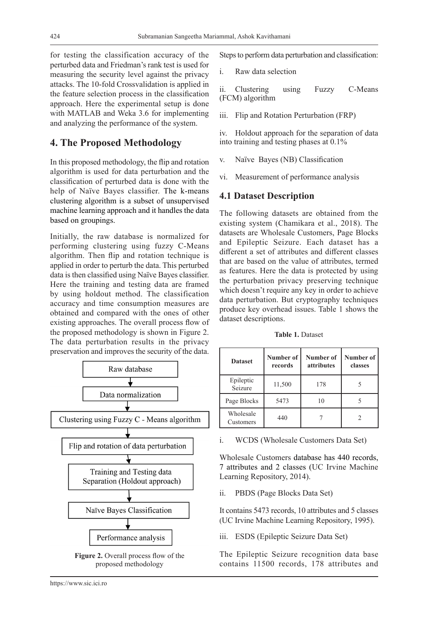for testing the classification accuracy of the perturbed data and Friedman's rank test is used for measuring the security level against the privacy attacks. The 10-fold Crossvalidation is applied in the feature selection process in the classification approach. Here the experimental setup is done with MATLAB and Weka 3.6 for implementing and analyzing the performance of the system.

## **4. The Proposed Methodology**

In this proposed methodology, the flip and rotation algorithm is used for data perturbation and the classification of perturbed data is done with the help of Naïve Bayes classifier. The k-means clustering algorithm is a subset of unsupervised machine learning approach and it handles the data based on groupings.

Initially, the raw database is normalized for performing clustering using fuzzy C-Means algorithm. Then flip and rotation technique is applied in order to perturb the data. This perturbed data is then classified using Naïve Bayes classifier. Here the training and testing data are framed by using holdout method. The classification accuracy and time consumption measures are obtained and compared with the ones of other existing approaches. The overall process flow of the proposed methodology is shown in Figure 2. The data perturbation results in the privacy preservation and improves the security of the data.



**Figure 2.** Overall process flow of the proposed methodology

Steps to perform data perturbation and classification:

i. Raw data selection

ii. Clustering using Fuzzy C-Means (FCM) algorithm

iii. Flip and Rotation Perturbation (FRP)

iv. Holdout approach for the separation of data into training and testing phases at 0.1%

- v. Naïve Bayes (NB) Classification
- vi. Measurement of performance analysis

## **4.1 Dataset Description**

The following datasets are obtained from the existing system (Chamikara et al., 2018). The datasets are Wholesale Customers, Page Blocks and Epileptic Seizure. Each dataset has a different a set of attributes and different classes that are based on the value of attributes, termed as features. Here the data is protected by using the perturbation privacy preserving technique which doesn't require any key in order to achieve data perturbation. But cryptography techniques produce key overhead issues. Table 1 shows the dataset descriptions.

**Table 1.** Dataset

| <b>Dataset</b>         | Number of<br>records | Number of<br>attributes | Number of<br>classes |  |
|------------------------|----------------------|-------------------------|----------------------|--|
| Epileptic<br>Seizure   | 11,500               | 178                     |                      |  |
| Page Blocks            | 5473                 | 10                      |                      |  |
| Wholesale<br>Customers | 440                  |                         |                      |  |

i. WCDS (Wholesale Customers Data Set)

Wholesale Customers database has 440 records, 7 attributes and 2 classes (UC Irvine Machine Learning Repository, 2014).

ii. PBDS (Page Blocks Data Set)

It contains 5473 records, 10 attributes and 5 classes (UC Irvine Machine Learning Repository, 1995).

iii. ESDS (Epileptic Seizure Data Set)

The Epileptic Seizure recognition data base contains 11500 records, 178 attributes and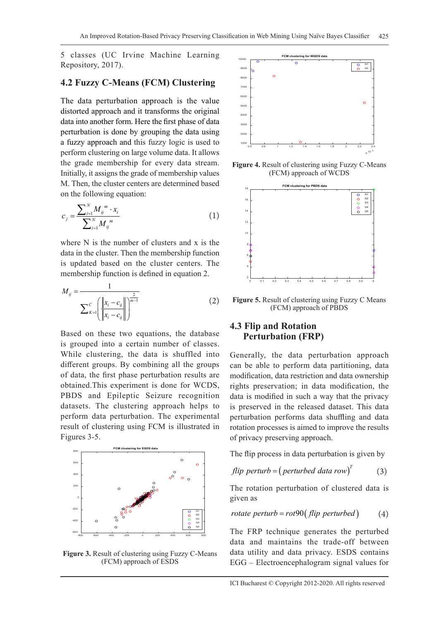5 classes (UC Irvine Machine Learning Repository, 2017).

#### **4.2 Fuzzy C-Means (FCM) Clustering**

The data perturbation approach is the value distorted approach and it transforms the original data into another form. Here the first phase of data perturbation is done by grouping the data using a fuzzy approach and this fuzzy logic is used to perform clustering on large volume data. It allows the grade membership for every data stream. Initially, it assigns the grade of membership values M. Then, the cluster centers are determined based on the following equation:

$$
c_j = \frac{\sum_{i=1}^{N} M_{ij}^{m} \cdot x_i}{\sum_{i=1}^{N} M_{ij}^{m}}
$$
 (1)

where N is the number of clusters and x is the data in the cluster. Then the membership function is updated based on the cluster centers. The membership function is defined in equation 2.

$$
M_{ij} = \frac{1}{\sum_{K=1}^{C} \left( \frac{\left\| x_i - c_{ij} \right\|}{\left\| x_i - c_{ij} \right\|} \right)^{\frac{2}{m-1}}}
$$
(2)

Based on these two equations, the database is grouped into a certain number of classes. While clustering, the data is shuffled into different groups. By combining all the groups of data, the first phase perturbation results are obtained.This experiment is done for WCDS, PBDS and Epileptic Seizure recognition datasets. The clustering approach helps to perform data perturbation. The experimental result of clustering using FCM is illustrated in Figures 3-5.



**Figure 3.** Result of clustering using Fuzzy C-Means (FCM) approach of ESDS



**Figure 4.** Result of clustering using Fuzzy C-Means (FCM) approach of WCDS



**Figure 5.** Result of clustering using Fuzzy C Means (FCM) approach of PBDS

#### **4.3 Flip and Rotation Perturbation (FRP)**

Generally, the data perturbation approach can be able to perform data partitioning, data modification, data restriction and data ownership rights preservation; in data modification, the data is modified in such a way that the privacy is preserved in the released dataset. This data perturbation performs data shuffling and data rotation processes is aimed to improve the results of privacy preserving approach.

The flip process in data perturbation is given by

*flip* perturb = 
$$
(perturbed data row)^T
$$
 (3)

The rotation perturbation of clustered data is given as

rotate perturb = 
$$
rot90 \text{ (flip perturbed)}
$$
 (4)

The FRP technique generates the perturbed data and maintains the trade-off between data utility and data privacy. ESDS contains EGG – Electroencephalogram signal values for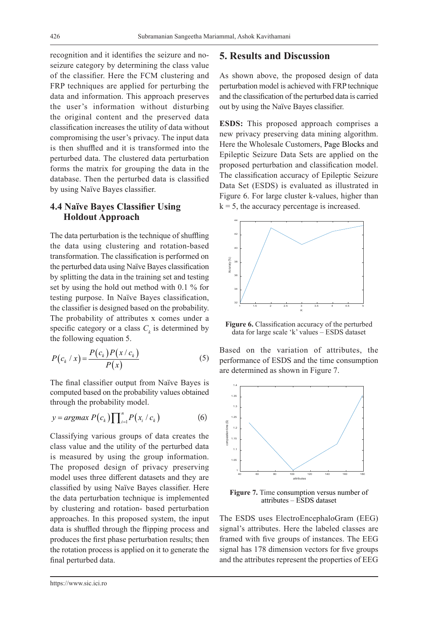recognition and it identifies the seizure and noseizure category by determining the class value of the classifier. Here the FCM clustering and FRP techniques are applied for perturbing the data and information. This approach preserves the user's information without disturbing the original content and the preserved data classification increases the utility of data without compromising the user's privacy. The input data is then shuffled and it is transformed into the perturbed data. The clustered data perturbation forms the matrix for grouping the data in the database. Then the perturbed data is classified by using Naïve Bayes classifier.

#### **4.4 Naïve Bayes Classifier Using Holdout Approach**

The data perturbation is the technique of shuffling the data using clustering and rotation-based transformation. The classification is performed on the perturbed data using Naïve Bayes classification by splitting the data in the training set and testing set by using the hold out method with 0.1 % for testing purpose. In Naïve Bayes classification, the classifier is designed based on the probability. The probability of attributes x comes under a specific category or a class  $C_k$  is determined by the following equation 5.

$$
P(c_k / x) = \frac{P(c_k)P(x / c_k)}{P(x)}
$$
\n<sup>(5)</sup>

The final classifier output from Naïve Bayes is computed based on the probability values obtained through the probability model.

$$
y = argmax P(c_k) \prod_{i=1}^{n} P(x_i / c_k)
$$
 (6)

Classifying various groups of data creates the class value and the utility of the perturbed data is measured by using the group information. The proposed design of privacy preserving model uses three different datasets and they are classified by using Naïve Bayes classifier. Here the data perturbation technique is implemented by clustering and rotation- based perturbation approaches. In this proposed system, the input data is shuffled through the flipping process and produces the first phase perturbation results; then the rotation process is applied on it to generate the final perturbed data.

#### **5. Results and Discussion**

As shown above, the proposed design of data perturbation model is achieved with FRP technique and the classification of the perturbed data is carried out by using the Naïve Bayes classifier.

**ESDS:** This proposed approach comprises a new privacy preserving data mining algorithm. Here the Wholesale Customers, Page Blocks and Epileptic Seizure Data Sets are applied on the proposed perturbation and classification model. The classification accuracy of Epileptic Seizure Data Set (ESDS) is evaluated as illustrated in Figure 6. For large cluster k-values, higher than  $k = 5$ , the accuracy percentage is increased.



Figure 6. Classification accuracy of the perturbed data for large scale 'k' values – ESDS dataset

Based on the variation of attributes, the performance of ESDS and the time consumption are determined as shown in Figure 7.



**Figure 7.** Time consumption versus number of attributes – ESDS dataset

The ESDS uses ElectroEncephaloGram (EEG) signal's attributes. Here the labeled classes are framed with five groups of instances. The EEG signal has 178 dimension vectors for five groups and the attributes represent the properties of EEG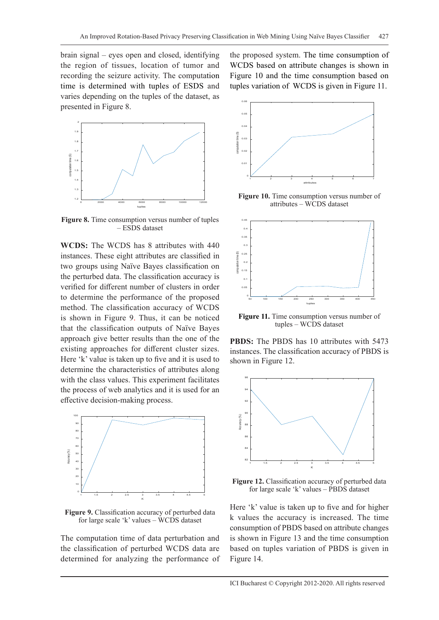brain signal – eyes open and closed, identifying the region of tissues, location of tumor and recording the seizure activity. The computation time is determined with tuples of ESDS and varies depending on the tuples of the dataset, as presented in Figure 8.



**Figure 8.** Time consumption versus number of tuples – ESDS dataset

**WCDS:** The WCDS has 8 attributes with 440 instances. These eight attributes are classified in two groups using Naïve Bayes classification on the perturbed data. The classification accuracy is verified for different number of clusters in order to determine the performance of the proposed method. The classification accuracy of WCDS is shown in Figure 9. Thus, it can be noticed that the classification outputs of Naïve Bayes approach give better results than the one of the existing approaches for different cluster sizes. Here 'k' value is taken up to five and it is used to determine the characteristics of attributes along with the class values. This experiment facilitates the process of web analytics and it is used for an effective decision-making process.



**Figure 9.** Classification accuracy of perturbed data for large scale 'k' values – WCDS dataset

The computation time of data perturbation and the classification of perturbed WCDS data are determined for analyzing the performance of the proposed system. The time consumption of WCDS based on attribute changes is shown in Figure 10 and the time consumption based on tuples variation of WCDS is given in Figure 11.



**Figure 10.** Time consumption versus number of attributes – WCDS dataset



**Figure 11.** Time consumption versus number of tuples – WCDS dataset

**PBDS:** The PBDS has 10 attributes with 5473 instances. The classification accuracy of PBDS is shown in Figure 12.



**Figure 12.** Classification accuracy of perturbed data for large scale 'k' values – PBDS dataset

Here 'k' value is taken up to five and for higher k values the accuracy is increased. The time consumption of PBDS based on attribute changes is shown in Figure 13 and the time consumption based on tuples variation of PBDS is given in Figure 14.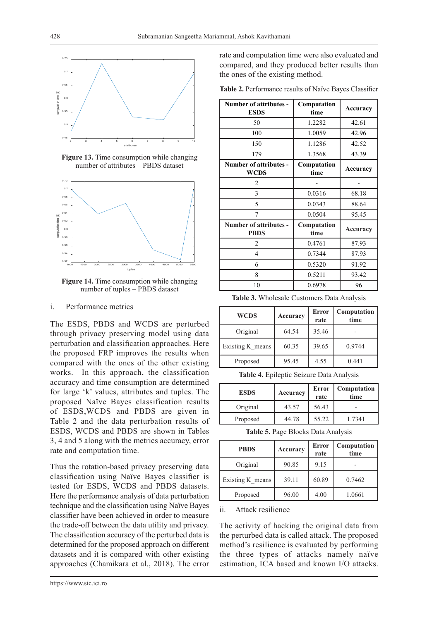

**Figure 13.** Time consumption while changing number of attributes – PBDS dataset



**Figure 14.** Time consumption while changing number of tuples – PBDS dataset

#### i. Performance metrics

The ESDS, PBDS and WCDS are perturbed through privacy preserving model using data perturbation and classification approaches. Here the proposed FRP improves the results when compared with the ones of the other existing works. In this approach, the classification accuracy and time consumption are determined for large 'k' values, attributes and tuples. The proposed Naïve Bayes classification results of ESDS,WCDS and PBDS are given in Table 2 and the data perturbation results of ESDS, WCDS and PBDS are shown in Tables 3, 4 and 5 along with the metrics accuracy, error rate and computation time.

Thus the rotation-based privacy preserving data classification using Naïve Bayes classifier is tested for ESDS, WCDS and PBDS datasets. Here the performance analysis of data perturbation technique and the classification using Naïve Bayes classifier have been achieved in order to measure the trade-off between the data utility and privacy. The classification accuracy of the perturbed data is determined for the proposed approach on different datasets and it is compared with other existing approaches (Chamikara et al., 2018). The error rate and computation time were also evaluated and compared, and they produced better results than the ones of the existing method.

**Table 2.** Performance results of Naïve Bayes Classifier

| Number of attributes -<br><b>ESDS</b> | Computation<br>time | Accuracy |  |
|---------------------------------------|---------------------|----------|--|
| 50                                    | 1.2282              | 42.61    |  |
| 100                                   | 1.0059              | 42.96    |  |
| 150                                   | 1.1286              | 42.52    |  |
| 179                                   | 1.3568              | 43.39    |  |
| Number of attributes -<br><b>WCDS</b> | Computation<br>time | Accuracy |  |
| $\mathfrak{D}$                        |                     |          |  |
| 3                                     | 0.0316              | 68.18    |  |
| 5                                     | 0.0343              | 88.64    |  |
| 7                                     | 0.0504              | 95.45    |  |
| Number of attributes -<br><b>PBDS</b> | Computation<br>time | Accuracy |  |
| $\overline{2}$                        | 0.4761              | 87.93    |  |
| 4                                     | 0.7344              | 87.93    |  |
| 6                                     | 0.5320              | 91.92    |  |
| 8                                     | 0.5211              | 93.42    |  |
| 10                                    | 0.6978              | 96       |  |

**Table 3.** Wholesale Customers Data Analysis

| <b>WCDS</b>      | Accuracy | Error<br>rate | Computation<br>time |
|------------------|----------|---------------|---------------------|
| Original         | 64.54    | 35.46         |                     |
| Existing K means | 60.35    | 39.65         | 0.9744              |
| Proposed         | 95.45    | 4.55          | 0.441               |

**Table 4.** Epileptic Seizure Data Analysis

| <b>ESDS</b> | Accuracy | Error<br>rate | <b>Computation</b><br>time |
|-------------|----------|---------------|----------------------------|
| Original    | 43.57    | 56.43         |                            |
| Proposed    | 44.78    | 55.22         | 1.7341                     |

**Table 5.** Page Blocks Data Analysis

| <b>PBDS</b>      | Accuracy | Error<br>rate | Computation<br>time |
|------------------|----------|---------------|---------------------|
| Original         | 90.85    | 9.15          |                     |
| Existing K_means | 39.11    | 60.89         | 0.7462              |
| Proposed         | 96.00    | 4.00          | 1.0661              |

ii. Attack resilience

The activity of hacking the original data from the perturbed data is called attack. The proposed method's resilience is evaluated by performing the three types of attacks namely naïve estimation, ICA based and known I/O attacks.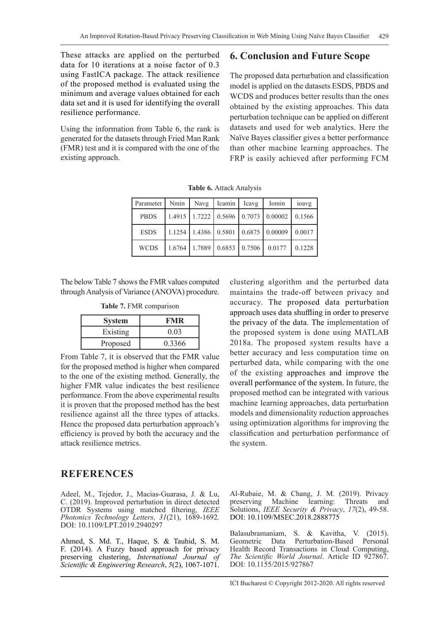These attacks are applied on the perturbed data for 10 iterations at a noise factor of 0.3 using FastICA package. The attack resilience of the proposed method is evaluated using the minimum and average values obtained for each data set and it is used for identifying the overall resilience performance.

Using the information from Table 6, the rank is generated for the datasets through Fried Man Rank (FMR) test and it is compared with the one of the existing approach.

## **6. Conclusion and Future Scope**

The proposed data perturbation and classification model is applied on the datasets ESDS, PBDS and WCDS and produces better results than the ones obtained by the existing approaches. This data perturbation technique can be applied on different datasets and used for web analytics. Here the Naïve Bayes classifier gives a better performance than other machine learning approaches. The FRP is easily achieved after performing FCM

| Parameter   Nmin   Navg   Icamin   Icavg   Iomin |  |  |                                                                                            | ioavg |
|--------------------------------------------------|--|--|--------------------------------------------------------------------------------------------|-------|
| <b>PBDS</b>                                      |  |  | $1.4915$   1.7222   0.5696   0.7073   0.00002   0.1566                                     |       |
| <b>ESDS</b>                                      |  |  | $\vert$ 1.1254 $\vert$ 1.4386 $\vert$ 0.5801 $\vert$ 0.6875 $\vert$ 0.00009 $\vert$ 0.0017 |       |
| <b>WCDS</b>                                      |  |  | $\vert$ 1.6764   1.7889   0.6853   0.7506   0.0177   0.1228                                |       |

**Table 6.** Attack Analysis

The below Table 7 shows the FMR values computed through Analysis of Variance (ANOVA) procedure.

**Table 7.** FMR comparison

| <b>System</b> |        |
|---------------|--------|
| Existing      | 0.03   |
| Proposed      | 0.3366 |

From Table 7, it is observed that the FMR value for the proposed method is higher when compared to the one of the existing method. Generally, the higher FMR value indicates the best resilience performance. From the above experimental results it is proven that the proposed method has the best resilience against all the three types of attacks. Hence the proposed data perturbation approach's efficiency is proved by both the accuracy and the attack resilience metrics.

**REFERENCES**

Adeel, M., Tejedor, J., Macias-Guarasa, J. & Lu, C. (2019). Improved perturbation in direct detected OTDR Systems using matched filtering, *IEEE Photonics Technology Letters, 31*(21), 1689-1692. DOI: 10.1109/LPT.2019.2940297

Ahmed, S. Md. T., Haque, S. & Tauhid, S. M. F. (2014). A Fuzzy based approach for privacy preserving clustering, *International Journal of Scientific & Engineering Research*, *5*(2), 1067-1071.

clustering algorithm and the perturbed data maintains the trade-off between privacy and accuracy. The proposed data perturbation approach uses data shuffling in order to preserve the privacy of the data. The implementation of the proposed system is done using MATLAB 2018a. The proposed system results have a better accuracy and less computation time on perturbed data, while comparing with the one of the existing approaches and improve the overall performance of the system. In future, the proposed method can be integrated with various machine learning approaches, data perturbation models and dimensionality reduction approaches using optimization algorithms for improving the classification and perturbation performance of the system.

Al-Rubaie, M. & Chang, J. M. (2019). Privacy preserving Machine learning: Threats and Solutions, *IEEE Security & Privacy*, *17*(2), 49-58. DOI: 10.1109/MSEC.2018.2888775

Balasubramaniam, S. & Kavitha, V. (2015). Geometric Data Perturbation-Based Personal Health Record Transactions in Cloud Computing, *The Scientific World Journal*. Article ID 927867. DOI: 10.1155/2015/927867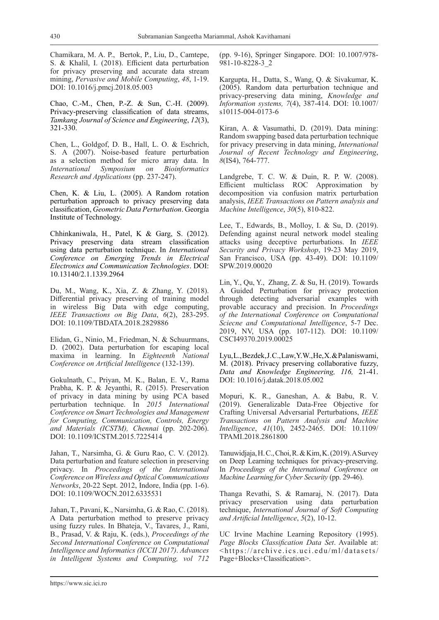Chamikara, M. A. P., Bertok, P., Liu, D., Camtepe, S. & Khalil, I. (2018). Efficient data perturbation for privacy preserving and accurate data stream mining, *Pervasive and Mobile Computing*, *48*, 1-19. DOI: 10.1016/j.pmcj.2018.05.003

Chao, C.-M., Chen, P.-Z. & Sun, C.-H. (2009). Privacy-preserving classification of data streams, *Tamkang Journal of Science and Engineering*, *12*(3), 321-330.

Chen, L., Goldgof, D. B., Hall, L. O. & Eschrich, S. A (2007). Noise-based feature perturbation as a selection method for micro array data. In *International Symposium on Bioinformatics Research and Applications* (pp. 237-247).

Chen, K. & Liu, L. (2005). A Random rotation perturbation approach to privacy preserving data classification, *Geometric Data Perturbation*. Georgia Institute of Technology.

Chhinkaniwala, H., Patel, K & Garg, S. (2012). Privacy preserving data stream classification using data perturbation technique. In *International Conference on Emerging Trends in Electrical Electronics and Communication Technologies*. DOI: 10.13140/2.1.1339.2964

Du, M., Wang, K., Xia, Z. & Zhang, Y. (2018). Differential privacy preserving of training model in wireless Big Data with edge computing, *IEEE Transactions on Big Data*, *6*(2), 283-295. DOI: 10.1109/TBDATA.2018.2829886

Elidan, G., Ninio, M., Friedman, N. & Schuurmans, D. (2002). Data perturbation for escaping local maxima in learning. In *Eighteenth National Conference on Artificial Intelligence* (132-139).

Gokulnath, C., Priyan, M. K., Balan, E. V., Rama Prabha, K. P. & Jeyanthi, R. (2015). Preservation of privacy in data mining by using PCA based perturbation technique. In *2015 International Conference on Smart Technologies and Management for Computing, Communication, Controls, Energy and Materials (ICSTM), Chennai* (pp. 202-206). DOI: 10.1109/ICSTM.2015.7225414

Jahan, T., Narsimha, G. & Guru Rao, C. V. (2012). Data perturbation and feature selection in preserving privacy. In *Proceedings of the International Conference on Wireless and Optical Communications Networks*, 20-22 Sept. 2012, Indore, India (pp. 1-6). DOI: 10.1109/WOCN.2012.6335531

Jahan, T., Pavani, K., Narsimha, G. & Rao, C. (2018). A Data perturbation method to preserve privacy using fuzzy rules. In Bhateja, V., Tavares, J., Rani, B., Prasad, V. & Raju, K. (eds.), *Proceedings of the Second International Conference on Computational Intelligence and Informatics (ICCII 2017)*. *Advances in Intelligent Systems and Computing, vol 712*

(pp. 9-16), Springer Singapore. DOI: 10.1007/978- 981-10-8228-3\_2

Kargupta, H., Datta, S., Wang, Q. & Sivakumar, K. (2005). Random data perturbation technique and privacy-preserving data mining, *Knowledge and Information systems, 7*(4), 387-414. DOI: 10.1007/ s10115-004-0173-6

Kiran, A. & Vasumathi, D. (2019). Data mining: Random swapping based data perturbation technique for privacy preserving in data mining, *International Journal of Recent Technology and Engineering*, *8*(IS4), 764-777.

Landgrebe, T. C. W. & Duin, R. P. W. (2008). Efficient multiclass ROC Approximation by decomposition via confusion matrix perturbation analysis, *IEEE Transactions on Pattern analysis and Machine Intelligence*, *30*(5), 810-822.

Lee, T., Edwards, B., Molloy, I. & Su, D. (2019). Defending against neural network model stealing attacks using deceptive perturbations. In *IEEE Security and Privacy Workshop*, 19-23 May 2019, San Francisco, USA (pp. 43-49). DOI: 10.1109/ SPW.2019.00020

Lin, Y., Qu, Y., Zhang, Z. & Su, H. (2019). Towards A Guided Perturbation for privacy protection through detecting adversarial examples with provable accuracy and precision. In *Proceedings of the International Conference on Computational Sciecne and Computational Intelligence*, 5-7 Dec. 2019, NV, USA (pp. 107-112). DOI: 10.1109/ CSCI49370.2019.00025

Lyu, L., Bezdek, J. C., Law, Y. W., He, X. & Palaniswami, M. (2018). Privacy preserving collaborative fuzzy, *Data and Knowledge Engineering, 116,* 21-41. DOI: 10.1016/j.datak.2018.05.002

Mopuri, K. R., Ganeshan, A. & Babu, R. V. (2019). Generalizable Data-Free Objective for Crafting Universal Adversarial Perturbations, *IEEE Transactions on Pattern Analysis and Machine Intelligence*, *41*(10), 2452-2465. DOI: 10.1109/ TPAMI.2018.2861800

Tanuwidjaja, H. C., Choi, R. & Kim, K. (2019). A Survey on Deep Learning techniques for privacy-preserving. In *Proceedings of the International Conference on Machine Learning for Cyber Security* (pp. 29-46).

Thanga Revathi, S. & Ramaraj, N. (2017). Data privacy preservation using data perturbation technique, *International Journal of Soft Computing and Artificial Intelligence*, *5*(2), 10-12.

UC Irvine Machine Learning Repository (1995). *Page Blocks Classification Data Set*. Available at: <https://archive.ics.uci.edu/ml/datasets/ Page+Blocks+Classification>.